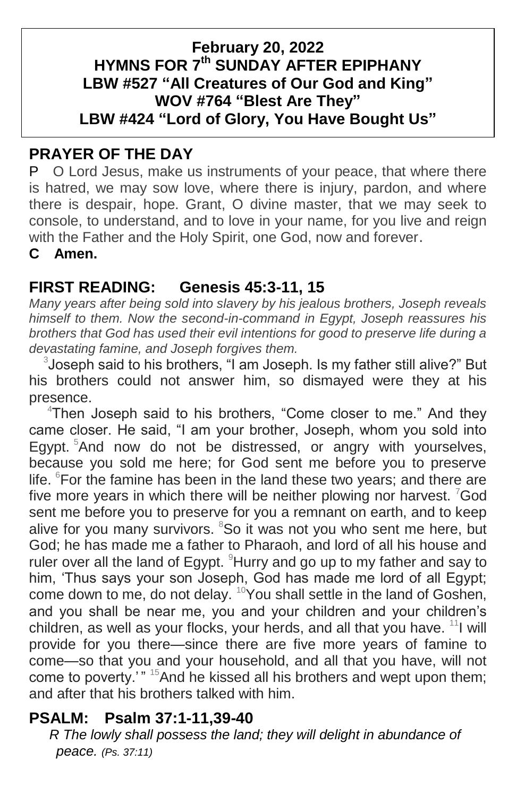### **February 20, 2022 HYMNS FOR 7 th SUNDAY AFTER EPIPHANY LBW #527 "All Creatures of Our God and King" WOV #764 "Blest Are They" LBW #424 "Lord of Glory, You Have Bought Us"**

# **PRAYER OF THE DAY**

P O Lord Jesus, make us instruments of your peace, that where there is hatred, we may sow love, where there is injury, pardon, and where there is despair, hope. Grant, O divine master, that we may seek to console, to understand, and to love in your name, for you live and reign with the Father and the Holy Spirit, one God, now and forever.

**C Amen.**

# **FIRST READING: Genesis 45:3-11, 15**

*Many years after being sold into slavery by his jealous brothers, Joseph reveals himself to them. Now the second-in-command in Egypt, Joseph reassures his brothers that God has used their evil intentions for good to preserve life during a devastating famine, and Joseph forgives them.*

<sup>3</sup> Joseph said to his brothers, "I am Joseph. Is my father still alive?" But his brothers could not answer him, so dismayed were they at his presence.

<sup>4</sup>Then Joseph said to his brothers, "Come closer to me." And they came closer. He said, "I am your brother, Joseph, whom you sold into Egypt.<sup>5</sup>And now do not be distressed, or angry with yourselves, because you sold me here; for God sent me before you to preserve life.  ${}^{6}$ For the famine has been in the land these two years; and there are five more years in which there will be neither plowing nor harvest.  $7$ God sent me before you to preserve for you a remnant on earth, and to keep alive for you many survivors. <sup>8</sup>So it was not you who sent me here, but God; he has made me a father to Pharaoh, and lord of all his house and ruler over all the land of Egypt.  $9$ Hurry and go up to my father and say to him, 'Thus says your son Joseph, God has made me lord of all Egypt; come down to me, do not delay. <sup>10</sup>You shall settle in the land of Goshen, and you shall be near me, you and your children and your children's children, as well as your flocks, your herds, and all that you have.  $11$  will provide for you there—since there are five more years of famine to come—so that you and your household, and all that you have, will not come to poverty.'" <sup>15</sup>And he kissed all his brothers and wept upon them; and after that his brothers talked with him.

## **PSALM: Psalm 37:1-11,39-40**

 *R The lowly shall possess the land; they will delight in abundance of peace. (Ps. 37:11)*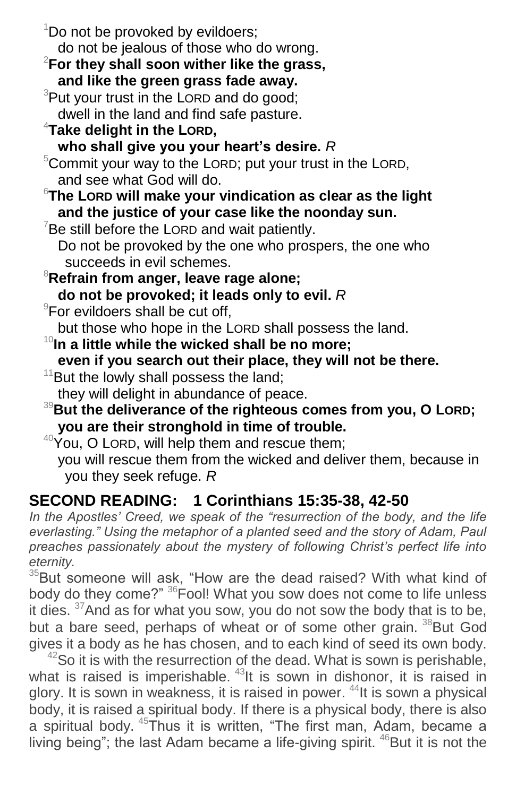| <sup>1</sup> Do not be provoked by evildoers;                              |
|----------------------------------------------------------------------------|
| do not be jealous of those who do wrong.                                   |
| $2$ For they shall soon wither like the grass,                             |
| and like the green grass fade away.                                        |
| <sup>3</sup> Put your trust in the LORD and do good;                       |
| dwell in the land and find safe pasture.                                   |
| $4$ Take delight in the LORD,                                              |
| who shall give you your heart's desire. R                                  |
| $5$ Commit your way to the LORD; put your trust in the LORD,               |
| and see what God will do.                                                  |
| $\mathrm{^{6}}$ The Lorp will make your vindication as clear as the light  |
| and the justice of your case like the noonday sun.                         |
| $7$ Be still before the LORD and wait patiently.                           |
| Do not be provoked by the one who prospers, the one who                    |
| succeeds in evil schemes.                                                  |
| <sup>8</sup> Refrain from anger, leave rage alone;                         |
| do not be provoked; it leads only to evil. R                               |
| <sup>9</sup> For evildoers shall be cut off,                               |
| but those who hope in the LORD shall possess the land.                     |
| $10$ In a little while the wicked shall be no more;                        |
| even if you search out their place, they will not be there.                |
| $11$ But the lowly shall possess the land;                                 |
| they will delight in abundance of peace.                                   |
| <sup>39</sup> But the deliverance of the righteous comes from you, O LORD; |
| you are their stronghold in time of trouble.                               |
| $40\gamma$ ou, O LORD, will help them and rescue them;                     |
| you will rescue them from the wicked and deliver them, because in          |
| you they seek refuge. R                                                    |

# **SECOND READING: 1 Corinthians 15:35-38, 42-50**

In the Apostles' Creed, we speak of the "resurrection of the body, and the life *everlasting." Using the metaphor of a planted seed and the story of Adam, Paul preaches passionately about the mystery of following Christ's perfect life into eternity.*

 $35$ But someone will ask, "How are the dead raised? With what kind of body do they come?" <sup>36</sup>Fool! What you sow does not come to life unless it dies.  $37$ And as for what you sow, you do not sow the body that is to be, but a bare seed, perhaps of wheat or of some other grain. <sup>38</sup>But God gives it a body as he has chosen, and to each kind of seed its own body.

 $42$ So it is with the resurrection of the dead. What is sown is perishable, what is raised is imperishable. <sup>43</sup>It is sown in dishonor, it is raised in glory. It is sown in weakness, it is raised in power. <sup>44</sup>It is sown a physical body, it is raised a spiritual body. If there is a physical body, there is also a spiritual body. <sup>45</sup>Thus it is written, "The first man, Adam, became a living being"; the last Adam became a life-giving spirit. <sup>46</sup>But it is not the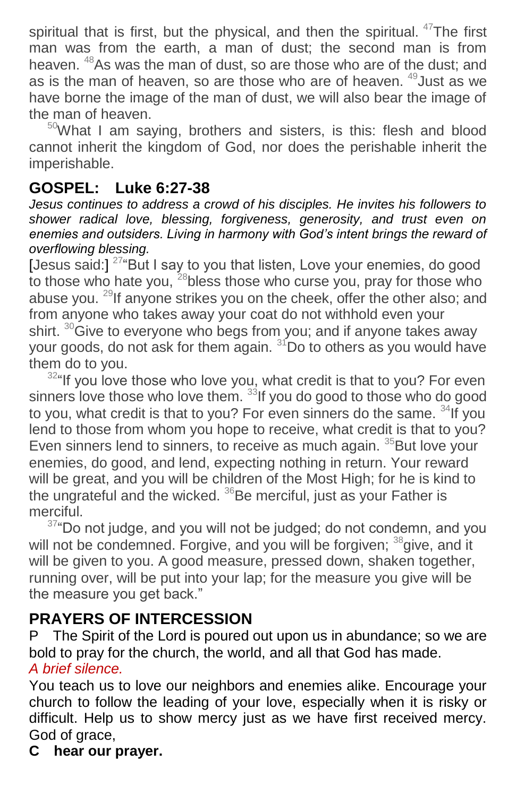spiritual that is first, but the physical, and then the spiritual.  $47$ The first man was from the earth, a man of dust; the second man is from heaven. <sup>48</sup>As was the man of dust, so are those who are of the dust; and as is the man of heaven, so are those who are of heaven.  $49$  Just as we have borne the image of the man of dust, we will also bear the image of the man of heaven.

 $50$ What I am saying, brothers and sisters, is this: flesh and blood cannot inherit the kingdom of God, nor does the perishable inherit the imperishable.

## **GOSPEL: Luke 6:27-38**

*Jesus continues to address a crowd of his disciples. He invites his followers to shower radical love, blessing, forgiveness, generosity, and trust even on enemies and outsiders. Living in harmony with God's intent brings the reward of overflowing blessing.*

[Jesus said:]<sup>27</sup> "But I say to you that listen, Love your enemies, do good to those who hate you, <sup>28</sup>bless those who curse you, pray for those who abuse you.  $^{29}$ If anyone strikes you on the cheek, offer the other also; and from anyone who takes away your coat do not withhold even your shirt.  $30\text{G}$  ive to everyone who begs from you; and if anyone takes away your goods, do not ask for them again. <sup>31</sup>Do to others as you would have them do to you.

<sup>32</sup>"If you love those who love you, what credit is that to you? For even sinners love those who love them. <sup>33</sup>If you do good to those who do good to you, what credit is that to you? For even sinners do the same. <sup>34</sup>If you lend to those from whom you hope to receive, what credit is that to you? Even sinners lend to sinners, to receive as much again. <sup>35</sup>But love your enemies, do good, and lend, expecting nothing in return. Your reward will be great, and you will be children of the Most High; for he is kind to the ungrateful and the wicked.  $36$ Be merciful, just as your Father is merciful.

 $37^{\circ}$ Do not judge, and you will not be judged; do not condemn, and you will not be condemned. Forgive, and you will be forgiven; <sup>38</sup>give, and it will be given to you. A good measure, pressed down, shaken together, running over, will be put into your lap; for the measure you give will be the measure you get back."

## **PRAYERS OF INTERCESSION**

P The Spirit of the Lord is poured out upon us in abundance; so we are bold to pray for the church, the world, and all that God has made. *A brief silence.*

You teach us to love our neighbors and enemies alike. Encourage your church to follow the leading of your love, especially when it is risky or difficult. Help us to show mercy just as we have first received mercy. God of grace,

**C hear our prayer.**